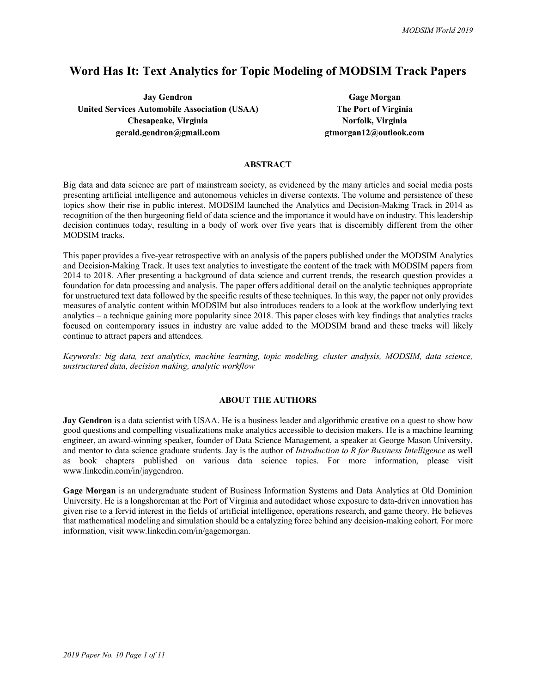# **Word Has It: Text Analytics for Topic Modeling of MODSIM Track Papers**

**Jay Gendron Gage Morgan United Services Automobile Association (USAA) The Port of Virginia Chesapeake, Virginia Norfolk, Virginia Norfolk**, Virginia **gerald.gendron@gmail.com gtmorgan12@outlook.com**

# **ABSTRACT**

Big data and data science are part of mainstream society, as evidenced by the many articles and social media posts presenting artificial intelligence and autonomous vehicles in diverse contexts. The volume and persistence of these topics show their rise in public interest. MODSIM launched the Analytics and Decision-Making Track in 2014 as recognition of the then burgeoning field of data science and the importance it would have on industry. This leadership decision continues today, resulting in a body of work over five years that is discernibly different from the other MODSIM tracks.

This paper provides a five-year retrospective with an analysis of the papers published under the MODSIM Analytics and Decision-Making Track. It uses text analytics to investigate the content of the track with MODSIM papers from 2014 to 2018. After presenting a background of data science and current trends, the research question provides a foundation for data processing and analysis. The paper offers additional detail on the analytic techniques appropriate for unstructured text data followed by the specific results of these techniques. In this way, the paper not only provides measures of analytic content within MODSIM but also introduces readers to a look at the workflow underlying text analytics – a technique gaining more popularity since 2018. This paper closes with key findings that analytics tracks focused on contemporary issues in industry are value added to the MODSIM brand and these tracks will likely continue to attract papers and attendees.

*Keywords: big data, text analytics, machine learning, topic modeling, cluster analysis, MODSIM, data science, unstructured data, decision making, analytic workflow*

#### **ABOUT THE AUTHORS**

**Jay Gendron** is a data scientist with USAA. He is a business leader and algorithmic creative on a quest to show how good questions and compelling visualizations make analytics accessible to decision makers. He is a machine learning engineer, an award-winning speaker, founder of Data Science Management, a speaker at George Mason University, and mentor to data science graduate students. Jay is the author of *Introduction to R for Business Intelligence* as well as book chapters published on various data science topics. For more information, please visit www.linkedin.com/in/jaygendron.

**Gage Morgan** is an undergraduate student of Business Information Systems and Data Analytics at Old Dominion University. He is a longshoreman at the Port of Virginia and autodidact whose exposure to data-driven innovation has given rise to a fervid interest in the fields of artificial intelligence, operations research, and game theory. He believes that mathematical modeling and simulation should be a catalyzing force behind any decision-making cohort. For more information, visit www.linkedin.com/in/gagemorgan.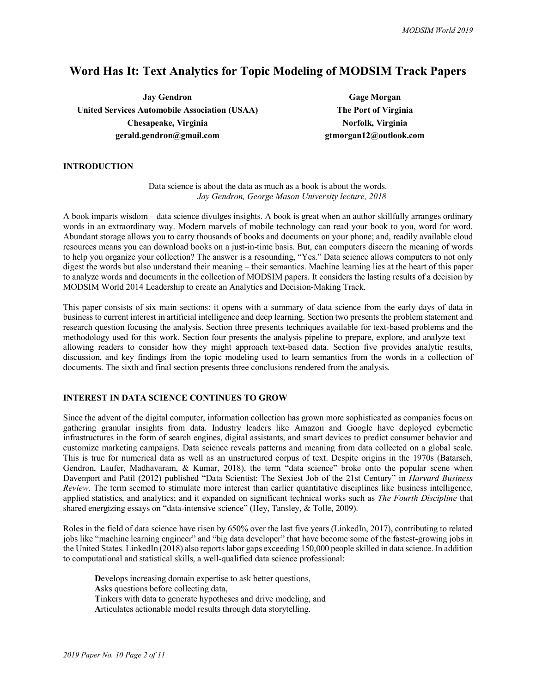# **Word Has It: Text Analytics for Topic Modeling of MODSIM Track Papers**

**Jay Gendron Gage Morgan United Services Automobile Association (USAA) The Port of Virginia Chesapeake, Virginia Norfolk, Virginia Norfolk**, Virginia **gerald.gendron@gmail.com gtmorgan12@outlook.com**

#### **INTRODUCTION**

Data science is about the data as much as a book is about the words. *– Jay Gendron, George Mason University lecture, 2018*

A book imparts wisdom – data science divulges insights. A book is great when an author skillfully arranges ordinary words in an extraordinary way. Modern marvels of mobile technology can read your book to you, word for word. Abundant storage allows you to carry thousands of books and documents on your phone; and, readily available cloud resources means you can download books on a just-in-time basis. But, can computers discern the meaning of words to help you organize your collection? The answer is a resounding, "Yes." Data science allows computers to not only digest the words but also understand their meaning – their semantics. Machine learning lies at the heart of this paper to analyze words and documents in the collection of MODSIM papers. It considers the lasting results of a decision by MODSIM World 2014 Leadership to create an Analytics and Decision-Making Track.

This paper consists of six main sections: it opens with a summary of data science from the early days of data in business to current interest in artificial intelligence and deep learning. Section two presents the problem statement and research question focusing the analysis. Section three presents techniques available for text-based problems and the methodology used for this work. Section four presents the analysis pipeline to prepare, explore, and analyze text – allowing readers to consider how they might approach text-based data. Section five provides analytic results, discussion, and key findings from the topic modeling used to learn semantics from the words in a collection of documents. The sixth and final section presents three conclusions rendered from the analysis.

#### **INTEREST IN DATA SCIENCE CONTINUES TO GROW**

Since the advent of the digital computer, information collection has grown more sophisticated as companies focus on gathering granular insights from data. Industry leaders like Amazon and Google have deployed cybernetic infrastructures in the form of search engines, digital assistants, and smart devices to predict consumer behavior and customize marketing campaigns. Data science reveals patterns and meaning from data collected on a global scale. This is true for numerical data as well as an unstructured corpus of text. Despite origins in the 1970s (Batarseh, Gendron, Laufer, Madhavaram, & Kumar, 2018), the term "data science" broke onto the popular scene when Davenport and Patil (2012) published "Data Scientist: The Sexiest Job of the 21st Century" in *Harvard Business Review*. The term seemed to stimulate more interest than earlier quantitative disciplines like business intelligence, applied statistics, and analytics; and it expanded on significant technical works such as *The Fourth Discipline* that shared energizing essays on "data-intensive science" (Hey, Tansley, & Tolle, 2009).

Roles in the field of data science have risen by 650% over the last five years (LinkedIn, 2017), contributing to related jobs like "machine learning engineer" and "big data developer" that have become some of the fastest-growing jobs in the United States. LinkedIn (2018) also reports labor gaps exceeding 150,000 people skilled in data science. In addition to computational and statistical skills, a well-qualified data science professional:

**D**evelops increasing domain expertise to ask better questions, **A**sks questions before collecting data, **T**inkers with data to generate hypotheses and drive modeling, and **A**rticulates actionable model results through data storytelling.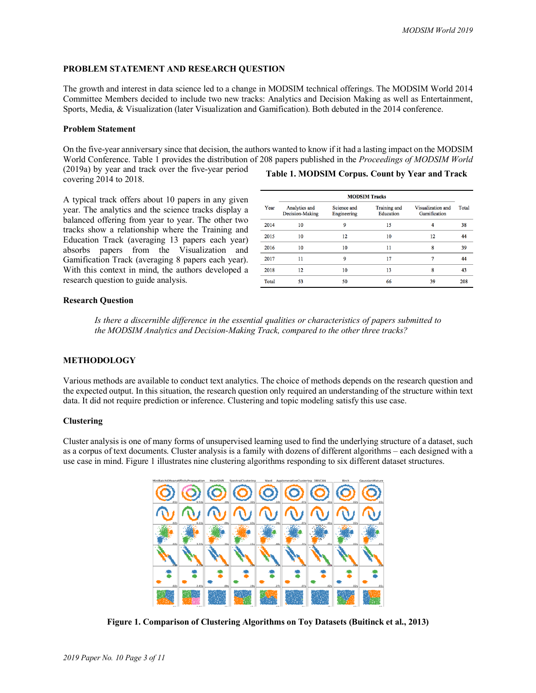## **PROBLEM STATEMENT AND RESEARCH QUESTION**

The growth and interest in data science led to a change in MODSIM technical offerings. The MODSIM World 2014 Committee Members decided to include two new tracks: Analytics and Decision Making as well as Entertainment, Sports, Media, & Visualization (later Visualization and Gamification). Both debuted in the 2014 conference.

#### **Problem Statement**

On the five-year anniversary since that decision, the authors wanted to know if it had a lasting impact on the MODSIM World Conference. Table 1 provides the distribution of 208 papers published in the *Proceedings of MODSIM World*

(2019a) by year and track over the five-year period covering 2014 to 2018.

**Table 1. MODSIM Corpus. Count by Year and Track**

A typical track offers about 10 papers in any given year. The analytics and the science tracks display a balanced offering from year to year. The other two tracks show a relationship where the Training and Education Track (averaging 13 papers each year) absorbs papers from the Visualization and Gamification Track (averaging 8 papers each year). With this context in mind, the authors developed a research question to guide analysis.

|       | <b>MODSIM Tracks</b>             |                            |                           |                                   |       |  |  |
|-------|----------------------------------|----------------------------|---------------------------|-----------------------------------|-------|--|--|
| Year  | Analytics and<br>Decision-Making | Science and<br>Engineering | Training and<br>Education | Visualization and<br>Gamification | Total |  |  |
| 2014  | 10                               | 9                          | 15                        | 4                                 | 38    |  |  |
| 2015  | 10                               | 12                         | 10                        | 12                                | 44    |  |  |
| 2016  | 10                               | 10                         | 11                        | 8                                 | 39    |  |  |
| 2017  | 11                               | 9                          | 17                        | 7                                 | 44    |  |  |
| 2018  | 12                               | 10                         | 13                        | 8                                 | 43    |  |  |
| Total | 53                               | 50                         | 66                        | 39                                | 208   |  |  |

#### **Research Question**

*Is there a discernible difference in the essential qualities or characteristics of papers submitted to the MODSIM Analytics and Decision-Making Track, compared to the other three tracks?*

## **METHODOLOGY**

Various methods are available to conduct text analytics. The choice of methods depends on the research question and the expected output. In this situation, the research question only required an understanding of the structure within text data. It did not require prediction or inference. Clustering and topic modeling satisfy this use case.

#### **Clustering**

Cluster analysis is one of many forms of unsupervised learning used to find the underlying structure of a dataset, such as a corpus of text documents. Cluster analysis is a family with dozens of different algorithms – each designed with a use case in mind. Figure 1 illustrates nine clustering algorithms responding to six different dataset structures.



**Figure 1. Comparison of Clustering Algorithms on Toy Datasets (Buitinck et al., 2013)**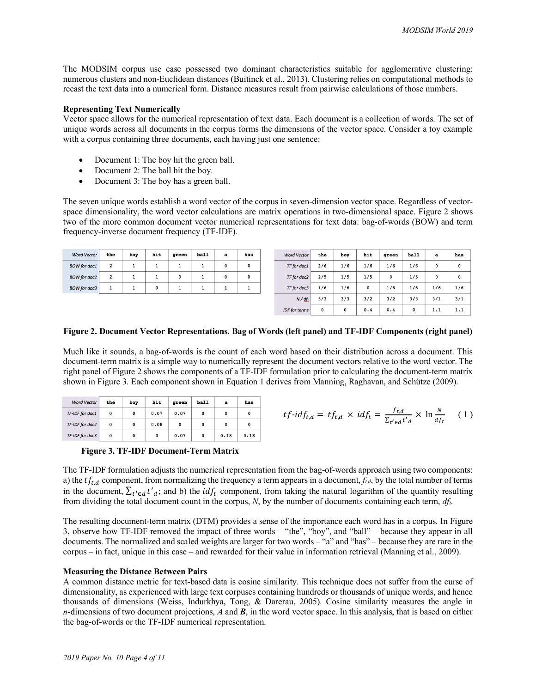The MODSIM corpus use case possessed two dominant characteristics suitable for agglomerative clustering: numerous clusters and non-Euclidean distances (Buitinck et al., 2013). Clustering relies on computational methods to recast the text data into a numerical form. Distance measures result from pairwise calculations of those numbers.

#### **Representing Text Numerically**

Vector space allows for the numerical representation of text data. Each document is a collection of words. The set of unique words across all documents in the corpus forms the dimensions of the vector space. Consider a toy example with a corpus containing three documents, each having just one sentence:

- Document 1: The boy hit the green ball.
- Document 2: The ball hit the boy.
- Document 3: The boy has a green ball.

The seven unique words establish a word vector of the corpus in seven-dimension vector space. Regardless of vectorspace dimensionality, the word vector calculations are matrix operations in two-dimensional space. Figure 2 shows two of the more common document vector numerical representations for text data: bag-of-words (BOW) and term frequency-inverse document frequency (TF-IDF).

| <b>Word Vector</b>  | the            | boy | hit | qreen | ball | a | has |
|---------------------|----------------|-----|-----|-------|------|---|-----|
| <b>BOW</b> for doc1 | $\overline{2}$ |     |     |       |      | 0 | 0   |
| <b>BOW</b> for doc2 | 2              |     |     | 0     |      | 0 | 0   |
| <b>BOW</b> for doc3 |                |     | 0   |       |      |   |     |

| <b>Word Vector</b>   | the | boy | hit | green       | ball | a            | has         |
|----------------------|-----|-----|-----|-------------|------|--------------|-------------|
| TF for doc1          | 2/6 | 1/6 | 1/6 | 1/6         | 1/6  | $\mathbf{0}$ | $\mathbf 0$ |
| TF for doc2          | 2/5 | 1/5 | 1/5 | $\mathbf 0$ | 1/5  | $\mathbf{0}$ | 0           |
| TF for doc3          | 1/6 | 1/6 | 0   | 1/6         | 1/6  | 1/6          | 1/6         |
| $N/df_t$             | 3/3 | 3/3 | 3/2 | 3/2         | 3/3  | 3/1          | 3/1         |
| <b>IDF</b> for terms | 0   | 0   | 0.4 | 0.4         | 0    | 1.1          | 1.1         |

# **Figure 2. Document Vector Representations. Bag of Words (left panel) and TF-IDF Components (right panel)**

Much like it sounds, a bag-of-words is the count of each word based on their distribution across a document. This document-term matrix is a simple way to numerically represent the document vectors relative to the word vector. The right panel of Figure 2 shows the components of a TF-IDF formulation prior to calculating the document-term matrix shown in Figure 3. Each component shown in Equation 1 derives from Manning, Raghavan, and Schütze (2009).

| <b>Word Vector</b> | the | boy         | hit        | green | ball | a    | has  |
|--------------------|-----|-------------|------------|-------|------|------|------|
| TF-IDF for doc1    | 0   | 0           | 0.07       | 0.07  | 0    | 0    |      |
| TF-IDF for doc2    | 0   | 0           | 0.08       | 0     | 0    | 0    |      |
| TF-IDF for doc3    | 0   | $\mathbf 0$ | $^{\circ}$ | 0.07  | 0    | 0.18 | 0.18 |



**Figure 3. TF-IDF Document-Term Matrix**

The TF-IDF formulation adjusts the numerical representation from the bag-of-words approach using two components: a) the  $tf_{t,d}$  component, from normalizing the frequency a term appears in a document,  $f_{t,d}$ , by the total number of terms in the document,  $\sum_{t' \in d} t'_{d}$ ; and b) the *idf<sub>t</sub>* component, from taking the natural logarithm of the quantity resulting from dividing the total document count in the corpus, *N*, by the number of documents containing each term, *dft*.

The resulting document-term matrix (DTM) provides a sense of the importance each word has in a corpus. In Figure 3, observe how TF-IDF removed the impact of three words – "the", "boy", and "ball" – because they appear in all documents. The normalized and scaled weights are larger for two words – "a" and "has" – because they are rare in the corpus – in fact, unique in this case – and rewarded for their value in information retrieval (Manning et al., 2009).

# **Measuring the Distance Between Pairs**

A common distance metric for text-based data is cosine similarity. This technique does not suffer from the curse of dimensionality, as experienced with large text corpuses containing hundreds or thousands of unique words, and hence thousands of dimensions (Weiss, Indurkhya, Tong, & Darerau, 2005). Cosine similarity measures the angle in *n*-dimensions of two document projections, *A* and *B*, in the word vector space. In this analysis, that is based on either the bag-of-words or the TF-IDF numerical representation.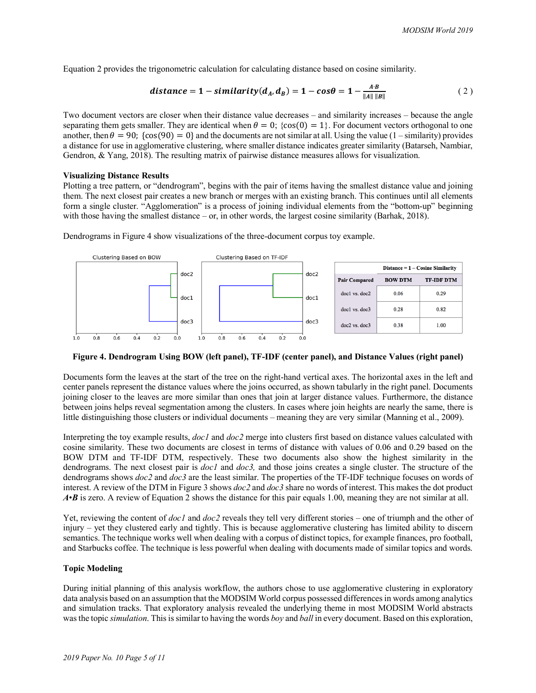Equation 2 provides the trigonometric calculation for calculating distance based on cosine similarity.

distance = 
$$
1 - \text{similarity}(d_A, d_B) = 1 - \cos\theta = 1 - \frac{A \cdot B}{\|A\| \|B\|}
$$
 (2)

Two document vectors are closer when their distance value decreases – and similarity increases – because the angle separating them gets smaller. They are identical when  $\theta = 0$ ; {cos(0) = 1}. For document vectors orthogonal to one another, then  $\theta = 90$ ; {cos(90) = 0} and the documents are not similar at all. Using the value (1 – similarity) provides a distance for use in agglomerative clustering, where smaller distance indicates greater similarity (Batarseh, Nambiar, Gendron, & Yang, 2018). The resulting matrix of pairwise distance measures allows for visualization.

#### **Visualizing Distance Results**

Plotting a tree pattern, or "dendrogram", begins with the pair of items having the smallest distance value and joining them. The next closest pair creates a new branch or merges with an existing branch. This continues until all elements form a single cluster. "Agglomeration" is a process of joining individual elements from the "bottom-up" beginning with those having the smallest distance – or, in other words, the largest cosine similarity (Barhak, 2018).

Dendrograms in Figure 4 show visualizations of the three-document corpus toy example.



#### **Figure 4. Dendrogram Using BOW (left panel), TF-IDF (center panel), and Distance Values (right panel)**

Documents form the leaves at the start of the tree on the right-hand vertical axes. The horizontal axes in the left and center panels represent the distance values where the joins occurred, as shown tabularly in the right panel. Documents joining closer to the leaves are more similar than ones that join at larger distance values. Furthermore, the distance between joins helps reveal segmentation among the clusters. In cases where join heights are nearly the same, there is little distinguishing those clusters or individual documents – meaning they are very similar (Manning et al., 2009).

Interpreting the toy example results, *doc1* and *doc2* merge into clusters first based on distance values calculated with cosine similarity. These two documents are closest in terms of distance with values of 0.06 and 0.29 based on the BOW DTM and TF-IDF DTM, respectively. These two documents also show the highest similarity in the dendrograms. The next closest pair is *doc1* and *doc3,* and those joins creates a single cluster. The structure of the dendrograms shows *doc2* and *doc3* are the least similar. The properties of the TF-IDF technique focuses on words of interest. A review of the DTM in Figure 3 shows *doc2* and *doc3* share no words of interest. This makes the dot product *A*•*B* is zero. A review of Equation 2 shows the distance for this pair equals 1.00, meaning they are not similar at all.

Yet, reviewing the content of *doc1* and *doc2* reveals they tell very different stories – one of triumph and the other of injury – yet they clustered early and tightly. This is because agglomerative clustering has limited ability to discern semantics. The technique works well when dealing with a corpus of distinct topics, for example finances, pro football, and Starbucks coffee. The technique is less powerful when dealing with documents made of similar topics and words.

# **Topic Modeling**

During initial planning of this analysis workflow, the authors chose to use agglomerative clustering in exploratory data analysis based on an assumption that the MODSIM World corpus possessed differencesin words among analytics and simulation tracks. That exploratory analysis revealed the underlying theme in most MODSIM World abstracts was the topic *simulation*. This is similar to having the words *boy* and *ball* in every document. Based on this exploration,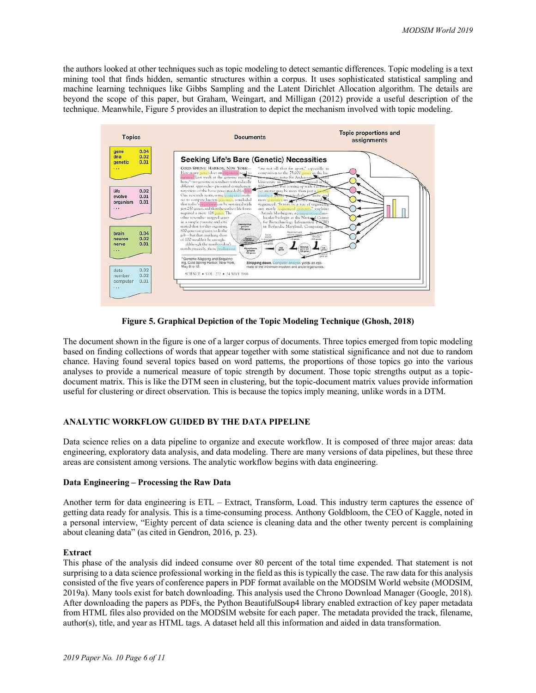the authors looked at other techniques such as topic modeling to detect semantic differences. Topic modeling is a text mining tool that finds hidden, semantic structures within a corpus. It uses sophisticated statistical sampling and machine learning techniques like Gibbs Sampling and the Latent Dirichlet Allocation algorithm. The details are beyond the scope of this paper, but Graham, Weingart, and Milligan (2012) provide a useful description of the technique. Meanwhile, Figure 5 provides an illustration to depict the mechanism involved with topic modeling.



**Figure 5. Graphical Depiction of the Topic Modeling Technique (Ghosh, 2018)**

The document shown in the figure is one of a larger corpus of documents. Three topics emerged from topic modeling based on finding collections of words that appear together with some statistical significance and not due to random chance. Having found several topics based on word patterns, the proportions of those topics go into the various analyses to provide a numerical measure of topic strength by document. Those topic strengths output as a topicdocument matrix. This is like the DTM seen in clustering, but the topic-document matrix values provide information useful for clustering or direct observation. This is because the topics imply meaning, unlike words in a DTM.

#### **ANALYTIC WORKFLOW GUIDED BY THE DATA PIPELINE**

Data science relies on a data pipeline to organize and execute workflow. It is composed of three major areas: data engineering, exploratory data analysis, and data modeling. There are many versions of data pipelines, but these three areas are consistent among versions. The analytic workflow begins with data engineering.

#### **Data Engineering – Processing the Raw Data**

Another term for data engineering is ETL – Extract, Transform, Load. This industry term captures the essence of getting data ready for analysis. This is a time-consuming process. Anthony Goldbloom, the CEO of Kaggle, noted in a personal interview, "Eighty percent of data science is cleaning data and the other twenty percent is complaining about cleaning data" (as cited in Gendron, 2016, p. 23).

#### **Extract**

This phase of the analysis did indeed consume over 80 percent of the total time expended. That statement is not surprising to a data science professional working in the field as this is typically the case. The raw data for this analysis consisted of the five years of conference papers in PDF format available on the MODSIM World website (MODSIM, 2019a). Many tools exist for batch downloading. This analysis used the Chrono Download Manager (Google, 2018). After downloading the papers as PDFs, the Python BeautifulSoup4 library enabled extraction of key paper metadata from HTML files also provided on the MODSIM website for each paper. The metadata provided the track, filename, author(s), title, and year as HTML tags. A dataset held all this information and aided in data transformation.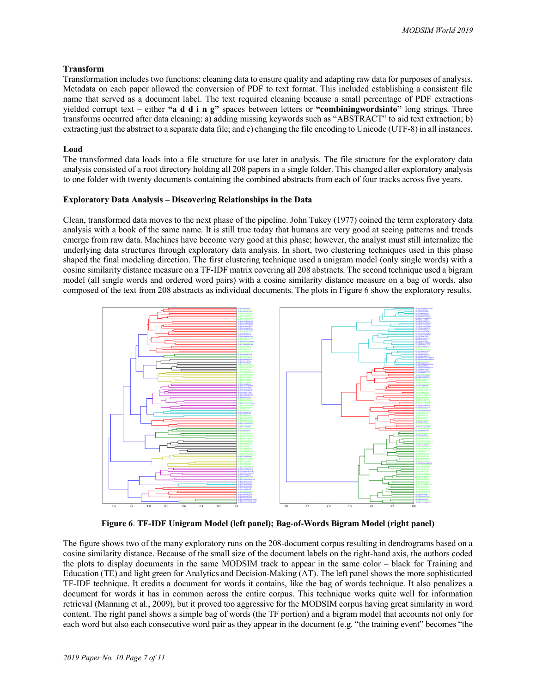#### **Transform**

Transformation includes two functions: cleaning data to ensure quality and adapting raw data for purposes of analysis. Metadata on each paper allowed the conversion of PDF to text format. This included establishing a consistent file name that served as a document label. The text required cleaning because a small percentage of PDF extractions yielded corrupt text – either **"a d d i n g"** spaces between letters or **"combiningwordsinto"** long strings. Three transforms occurred after data cleaning: a) adding missing keywords such as "ABSTRACT" to aid text extraction; b) extracting just the abstract to a separate data file; and c) changing the file encoding to Unicode (UTF-8) in all instances.

## **Load**

The transformed data loads into a file structure for use later in analysis. The file structure for the exploratory data analysis consisted of a root directory holding all 208 papers in a single folder. This changed after exploratory analysis to one folder with twenty documents containing the combined abstracts from each of four tracks across five years.

## **Exploratory Data Analysis – Discovering Relationships in the Data**

Clean, transformed data moves to the next phase of the pipeline. John Tukey (1977) coined the term exploratory data analysis with a book of the same name. It is still true today that humans are very good at seeing patterns and trends emerge from raw data. Machines have become very good at this phase; however, the analyst must still internalize the underlying data structures through exploratory data analysis. In short, two clustering techniques used in this phase shaped the final modeling direction. The first clustering technique used a unigram model (only single words) with a cosine similarity distance measure on a TF-IDF matrix covering all 208 abstracts. The second technique used a bigram model (all single words and ordered word pairs) with a cosine similarity distance measure on a bag of words, also composed of the text from 208 abstracts as individual documents. The plots in Figure 6 show the exploratory results.



**Figure 6**. **TF-IDF Unigram Model (left panel); Bag-of-Words Bigram Model (right panel)**

The figure shows two of the many exploratory runs on the 208-document corpus resulting in dendrograms based on a cosine similarity distance. Because of the small size of the document labels on the right-hand axis, the authors coded the plots to display documents in the same MODSIM track to appear in the same color – black for Training and Education (TE) and light green for Analytics and Decision-Making (AT). The left panel shows the more sophisticated TF-IDF technique. It credits a document for words it contains, like the bag of words technique. It also penalizes a document for words it has in common across the entire corpus. This technique works quite well for information retrieval (Manning et al., 2009), but it proved too aggressive for the MODSIM corpus having great similarity in word content. The right panel shows a simple bag of words (the TF portion) and a bigram model that accounts not only for each word but also each consecutive word pair as they appear in the document (e.g. "the training event" becomes "the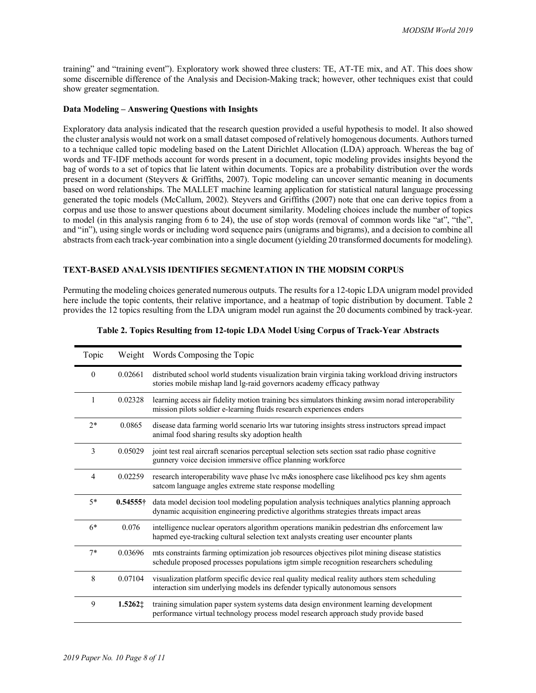training" and "training event"). Exploratory work showed three clusters: TE, AT-TE mix, and AT. This does show some discernible difference of the Analysis and Decision-Making track; however, other techniques exist that could show greater segmentation.

#### **Data Modeling – Answering Questions with Insights**

Exploratory data analysis indicated that the research question provided a useful hypothesis to model. It also showed the cluster analysis would not work on a small dataset composed of relatively homogenous documents. Authors turned to a technique called topic modeling based on the Latent Dirichlet Allocation (LDA) approach. Whereas the bag of words and TF-IDF methods account for words present in a document, topic modeling provides insights beyond the bag of words to a set of topics that lie latent within documents. Topics are a probability distribution over the words present in a document (Steyvers & Griffiths, 2007). Topic modeling can uncover semantic meaning in documents based on word relationships. The MALLET machine learning application for statistical natural language processing generated the topic models (McCallum, 2002). Steyvers and Griffiths (2007) note that one can derive topics from a corpus and use those to answer questions about document similarity. Modeling choices include the number of topics to model (in this analysis ranging from 6 to 24), the use of stop words (removal of common words like "at", "the", and "in"), using single words or including word sequence pairs (unigrams and bigrams), and a decision to combine all abstracts from each track-year combination into a single document (yielding 20 transformed documents for modeling).

# **TEXT-BASED ANALYSIS IDENTIFIES SEGMENTATION IN THE MODSIM CORPUS**

Permuting the modeling choices generated numerous outputs. The results for a 12-topic LDA unigram model provided here include the topic contents, their relative importance, and a heatmap of topic distribution by document. Table 2 provides the 12 topics resulting from the LDA unigram model run against the 20 documents combined by track-year.

| Topic          |                  | Weight Words Composing the Topic                                                                                                                                                        |
|----------------|------------------|-----------------------------------------------------------------------------------------------------------------------------------------------------------------------------------------|
| $\theta$       | 0.02661          | distributed school world students visualization brain virginia taking workload driving instructors<br>stories mobile mishap land lg-raid governors academy efficacy pathway             |
| 1              | 0.02328          | learning access air fidelity motion training bcs simulators thinking awsim norad interoperability<br>mission pilots soldier e-learning fluids research experiences enders               |
| $2*$           | 0.0865           | disease data farming world scenario lrts war tutoring insights stress instructors spread impact<br>animal food sharing results sky adoption health                                      |
| 3              | 0.05029          | joint test real aircraft scenarios perceptual selection sets section ssat radio phase cognitive<br>gunnery voice decision immersive office planning workforce                           |
| $\overline{4}$ | 0.02259          | research interoperability wave phase lvc m&s ionosphere case likelihood pcs key shm agents<br>satcom language angles extreme state response modelling                                   |
| $5*$           | $0.54555\dagger$ | data model decision tool modeling population analysis techniques analytics planning approach<br>dynamic acquisition engineering predictive algorithms strategies threats impact areas   |
| $6*$           | 0.076            | intelligence nuclear operators algorithm operations manikin pedestrian dhs enforcement law<br>hapmed eye-tracking cultural selection text analysts creating user encounter plants       |
| $7*$           | 0.03696          | mts constraints farming optimization job resources objectives pilot mining disease statistics<br>schedule proposed processes populations igtm simple recognition researchers scheduling |
| 8              | 0.07104          | visualization platform specific device real quality medical reality authors stem scheduling<br>interaction sim underlying models ins defender typically autonomous sensors              |
| 9              | $1.5262 \pm$     | training simulation paper system systems data design environment learning development<br>performance virtual technology process model research approach study provide based             |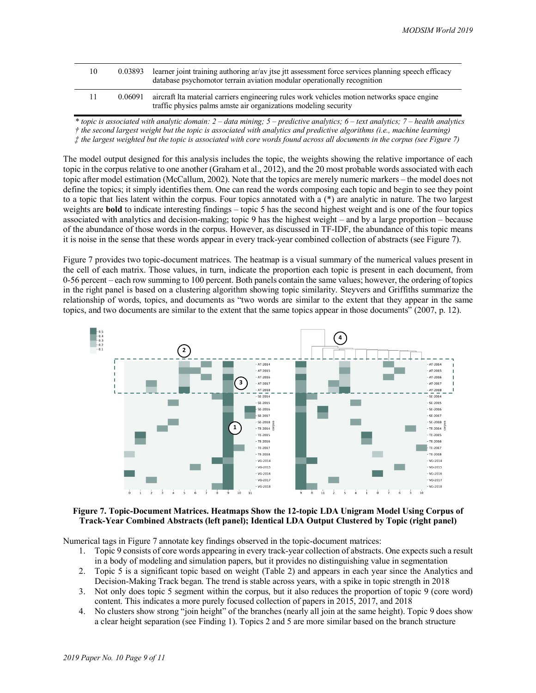| 10 | 0.03893 | learner joint training authoring ar/av jtse jtt assessment force services planning speech efficacy<br>database psychomotor terrain aviation modular operationally recognition |
|----|---------|-------------------------------------------------------------------------------------------------------------------------------------------------------------------------------|
| 11 | 0.06091 | aircraft Ita material carriers engineering rules work vehicles motion networks space engine<br>traffic physics palms amste air organizations modeling security                |

*\* topic is associated with analytic domain: 2 – data mining; 5 – predictive analytics; 6 – text analytics; 7 – health analytics † the second largest weight but the topic is associated with analytics and predictive algorithms (i.e., machine learning) ‡ the largest weighted but the topic is associated with core words found across all documents in the corpus (see Figure 7)*

The model output designed for this analysis includes the topic, the weights showing the relative importance of each topic in the corpus relative to one another (Graham et al., 2012), and the 20 most probable words associated with each topic after model estimation (McCallum, 2002). Note that the topics are merely numeric markers – the model does not define the topics; it simply identifies them. One can read the words composing each topic and begin to see they point to a topic that lies latent within the corpus. Four topics annotated with a  $(*)$  are analytic in nature. The two largest weights are **bold** to indicate interesting findings – topic 5 has the second highest weight and is one of the four topics associated with analytics and decision-making; topic 9 has the highest weight – and by a large proportion – because of the abundance of those words in the corpus. However, as discussed in TF-IDF, the abundance of this topic means it is noise in the sense that these words appear in every track-year combined collection of abstracts (see Figure 7).

Figure 7 provides two topic-document matrices. The heatmap is a visual summary of the numerical values present in the cell of each matrix. Those values, in turn, indicate the proportion each topic is present in each document, from 0-56 percent – each row summing to 100 percent. Both panels contain the same values; however, the ordering of topics in the right panel is based on a clustering algorithm showing topic similarity. Steyvers and Griffiths summarize the relationship of words, topics, and documents as "two words are similar to the extent that they appear in the same topics, and two documents are similar to the extent that the same topics appear in those documents" (2007, p. 12).



#### **Figure 7. Topic-Document Matrices. Heatmaps Show the 12-topic LDA Unigram Model Using Corpus of Track-Year Combined Abstracts (left panel); Identical LDA Output Clustered by Topic (right panel)**

Numerical tags in Figure 7 annotate key findings observed in the topic-document matrices:

- 1. Topic 9 consists of core words appearing in every track-year collection of abstracts. One expects such a result in a body of modeling and simulation papers, but it provides no distinguishing value in segmentation
- 2. Topic 5 is a significant topic based on weight (Table 2) and appears in each year since the Analytics and Decision-Making Track began. The trend is stable across years, with a spike in topic strength in 2018
- 3. Not only does topic 5 segment within the corpus, but it also reduces the proportion of topic 9 (core word) content. This indicates a more purely focused collection of papers in 2015, 2017, and 2018
- 4. No clusters show strong "join height" of the branches (nearly all join at the same height). Topic 9 does show a clear height separation (see Finding 1). Topics 2 and 5 are more similar based on the branch structure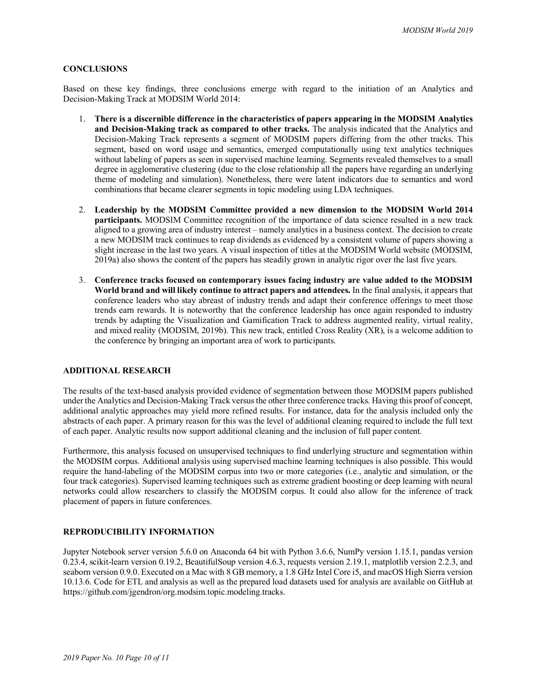#### **CONCLUSIONS**

Based on these key findings, three conclusions emerge with regard to the initiation of an Analytics and Decision-Making Track at MODSIM World 2014:

- 1. **There is a discernible difference in the characteristics of papers appearing in the MODSIM Analytics and Decision-Making track as compared to other tracks.** The analysis indicated that the Analytics and Decision-Making Track represents a segment of MODSIM papers differing from the other tracks. This segment, based on word usage and semantics, emerged computationally using text analytics techniques without labeling of papers as seen in supervised machine learning. Segments revealed themselves to a small degree in agglomerative clustering (due to the close relationship all the papers have regarding an underlying theme of modeling and simulation). Nonetheless, there were latent indicators due to semantics and word combinations that became clearer segments in topic modeling using LDA techniques.
- 2. **Leadership by the MODSIM Committee provided a new dimension to the MODSIM World 2014 participants.** MODSIM Committee recognition of the importance of data science resulted in a new track aligned to a growing area of industry interest – namely analytics in a business context. The decision to create a new MODSIM track continues to reap dividends as evidenced by a consistent volume of papers showing a slight increase in the last two years. A visual inspection of titles at the MODSIM World website (MODSIM, 2019a) also shows the content of the papers has steadily grown in analytic rigor over the last five years.
- 3. **Conference tracks focused on contemporary issues facing industry are value added to the MODSIM World brand and will likely continue to attract papers and attendees.** In the final analysis, it appears that conference leaders who stay abreast of industry trends and adapt their conference offerings to meet those trends earn rewards. It is noteworthy that the conference leadership has once again responded to industry trends by adapting the Visualization and Gamification Track to address augmented reality, virtual reality, and mixed reality (MODSIM, 2019b). This new track, entitled Cross Reality (XR), is a welcome addition to the conference by bringing an important area of work to participants.

## **ADDITIONAL RESEARCH**

The results of the text-based analysis provided evidence of segmentation between those MODSIM papers published under the Analytics and Decision-Making Track versus the other three conference tracks. Having this proof of concept, additional analytic approaches may yield more refined results. For instance, data for the analysis included only the abstracts of each paper. A primary reason for this was the level of additional cleaning required to include the full text of each paper. Analytic results now support additional cleaning and the inclusion of full paper content.

Furthermore, this analysis focused on unsupervised techniques to find underlying structure and segmentation within the MODSIM corpus. Additional analysis using supervised machine learning techniques is also possible. This would require the hand-labeling of the MODSIM corpus into two or more categories (i.e., analytic and simulation, or the four track categories). Supervised learning techniques such as extreme gradient boosting or deep learning with neural networks could allow researchers to classify the MODSIM corpus. It could also allow for the inference of track placement of papers in future conferences.

### **REPRODUCIBILITY INFORMATION**

Jupyter Notebook server version 5.6.0 on Anaconda 64 bit with Python 3.6.6, NumPy version 1.15.1, pandas version 0.23.4, scikit-learn version 0.19.2, BeautifulSoup version 4.6.3, requests version 2.19.1, matplotlib version 2.2.3, and seaborn version 0.9.0. Executed on a Mac with 8 GB memory, a 1.8 GHz Intel Core i5, and macOS High Sierra version 10.13.6. Code for ETL and analysis as well as the prepared load datasets used for analysis are available on GitHub at https://github.com/jgendron/org.modsim.topic.modeling.tracks.